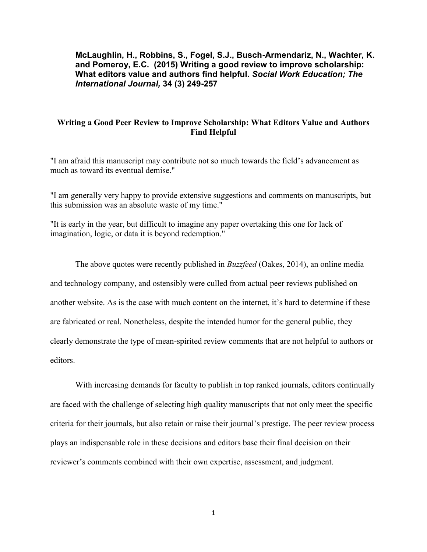## **McLaughlin, H., Robbins, S., Fogel, S.J., Busch-Armendariz, N., Wachter, K. and Pomeroy, E.C. (2015) Writing a good review to improve scholarship: What editors value and authors find helpful.** *Social Work Education; The International Journal,* **34 (3) 249-257**

## **Writing a Good Peer Review to Improve Scholarship: What Editors Value and Authors Find Helpful**

"I am afraid this manuscript may contribute not so much towards the field's advancement as much as toward its eventual demise."

"I am generally very happy to provide extensive suggestions and comments on manuscripts, but this submission was an absolute waste of my time."

"It is early in the year, but difficult to imagine any paper overtaking this one for lack of imagination, logic, or data it is beyond redemption."

The above quotes were recently published in *Buzzfeed* (Oakes, 2014), an online media and technology company, and ostensibly were culled from actual peer reviews published on another website. As is the case with much content on the internet, it's hard to determine if these are fabricated or real. Nonetheless, despite the intended humor for the general public, they clearly demonstrate the type of mean-spirited review comments that are not helpful to authors or editors.

With increasing demands for faculty to publish in top ranked journals, editors continually are faced with the challenge of selecting high quality manuscripts that not only meet the specific criteria for their journals, but also retain or raise their journal's prestige. The peer review process plays an indispensable role in these decisions and editors base their final decision on their reviewer's comments combined with their own expertise, assessment, and judgment.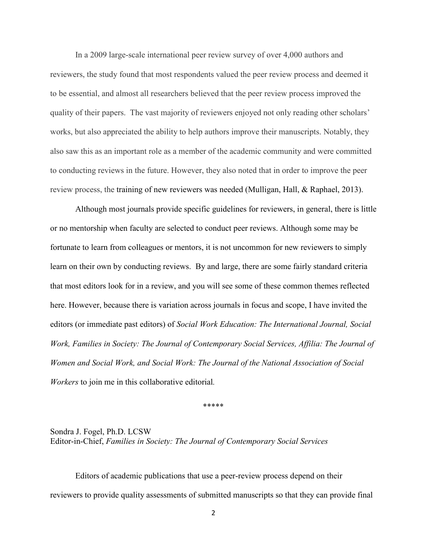In a 2009 large-scale international peer review survey of over 4,000 authors and reviewers, the study found that most respondents valued the peer review process and deemed it to be essential, and almost all researchers believed that the peer review process improved the quality of their papers. The vast majority of reviewers enjoyed not only reading other scholars' works, but also appreciated the ability to help authors improve their manuscripts. Notably, they also saw this as an important role as a member of the academic community and were committed to conducting reviews in the future. However, they also noted that in order to improve the peer review process, the training of new reviewers was needed (Mulligan, Hall, & Raphael, 2013).

Although most journals provide specific guidelines for reviewers, in general, there is little or no mentorship when faculty are selected to conduct peer reviews. Although some may be fortunate to learn from colleagues or mentors, it is not uncommon for new reviewers to simply learn on their own by conducting reviews. By and large, there are some fairly standard criteria that most editors look for in a review, and you will see some of these common themes reflected here. However, because there is variation across journals in focus and scope, I have invited the editors (or immediate past editors) of *Social Work Education: The International Journal, Social Work, Families in Society: The Journal of Contemporary Social Services, Affilia: The Journal of Women and Social Work, and Social Work: The Journal of the National Association of Social Workers* to join me in this collaborative editorial*.* 

\*\*\*\*\*

Sondra J. Fogel, Ph.D. LCSW Editor-in-Chief, *Families in Society: The Journal of Contemporary Social Services*

Editors of academic publications that use a peer-review process depend on their reviewers to provide quality assessments of submitted manuscripts so that they can provide final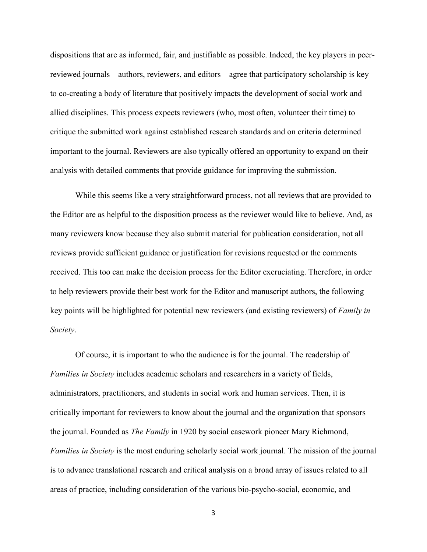dispositions that are as informed, fair, and justifiable as possible. Indeed, the key players in peerreviewed journals—authors, reviewers, and editors—agree that participatory scholarship is key to co-creating a body of literature that positively impacts the development of social work and allied disciplines. This process expects reviewers (who, most often, volunteer their time) to critique the submitted work against established research standards and on criteria determined important to the journal. Reviewers are also typically offered an opportunity to expand on their analysis with detailed comments that provide guidance for improving the submission.

While this seems like a very straightforward process, not all reviews that are provided to the Editor are as helpful to the disposition process as the reviewer would like to believe. And, as many reviewers know because they also submit material for publication consideration, not all reviews provide sufficient guidance or justification for revisions requested or the comments received. This too can make the decision process for the Editor excruciating. Therefore, in order to help reviewers provide their best work for the Editor and manuscript authors, the following key points will be highlighted for potential new reviewers (and existing reviewers) of *Family in Society*.

Of course, it is important to who the audience is for the journal. The readership of *Families in Society* includes academic scholars and researchers in a variety of fields, administrators, practitioners, and students in social work and human services. Then, it is critically important for reviewers to know about the journal and the organization that sponsors the journal. Founded as *The Family* in 1920 by social casework pioneer Mary Richmond, *Families in Society* is the most enduring scholarly social work journal. The mission of the journal is to advance translational research and critical analysis on a broad array of issues related to all areas of practice, including consideration of the various bio-psycho-social, economic, and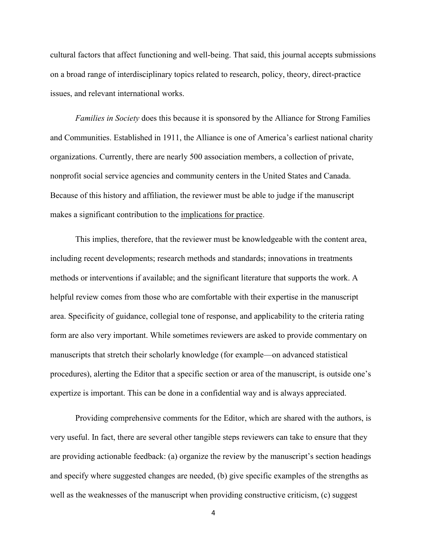cultural factors that affect functioning and well-being. That said, this journal accepts submissions on a broad range of interdisciplinary topics related to research, policy, theory, direct-practice issues, and relevant international works.

*Families in Society* does this because it is sponsored by the Alliance for Strong Families and Communities. Established in 1911, the Alliance is one of America's earliest national charity organizations. Currently, there are nearly 500 association members, a collection of private, nonprofit social service agencies and community centers in the United States and Canada. Because of this history and affiliation, the reviewer must be able to judge if the manuscript makes a significant contribution to the implications for practice.

This implies, therefore, that the reviewer must be knowledgeable with the content area, including recent developments; research methods and standards; innovations in treatments methods or interventions if available; and the significant literature that supports the work. A helpful review comes from those who are comfortable with their expertise in the manuscript area. Specificity of guidance, collegial tone of response, and applicability to the criteria rating form are also very important. While sometimes reviewers are asked to provide commentary on manuscripts that stretch their scholarly knowledge (for example—on advanced statistical procedures), alerting the Editor that a specific section or area of the manuscript, is outside one's expertize is important. This can be done in a confidential way and is always appreciated.

Providing comprehensive comments for the Editor, which are shared with the authors, is very useful. In fact, there are several other tangible steps reviewers can take to ensure that they are providing actionable feedback: (a) organize the review by the manuscript's section headings and specify where suggested changes are needed, (b) give specific examples of the strengths as well as the weaknesses of the manuscript when providing constructive criticism, (c) suggest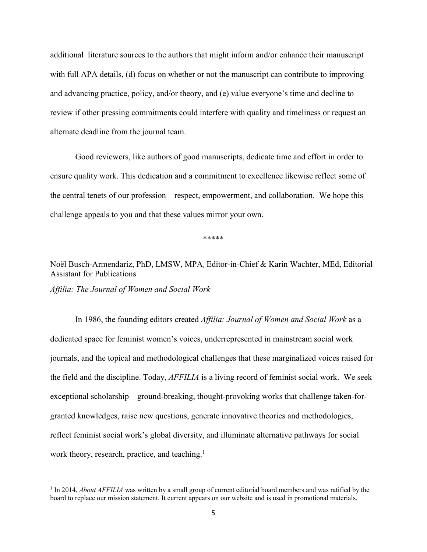additional literature sources to the authors that might inform and/or enhance their manuscript with full APA details, (d) focus on whether or not the manuscript can contribute to improving and advancing practice, policy, and/or theory, and (e) value everyone's time and decline to review if other pressing commitments could interfere with quality and timeliness or request an alternate deadline from the journal team.

Good reviewers, like authors of good manuscripts, dedicate time and effort in order to ensure quality work. This dedication and a commitment to excellence likewise reflect some of the central tenets of our profession—respect, empowerment, and collaboration. We hope this challenge appeals to you and that these values mirror your own.

\*\*\*\*\*

Noël Busch-Armendariz, PhD, LMSW, MPA, Editor-in-Chief & Karin Wachter, MEd, Editorial Assistant for Publications

*Affilia: The Journal of Women and Social Work* 

 $\overline{\phantom{a}}$ 

In 1986, the founding editors created *Affilia: Journal of Women and Social Work* as a dedicated space for feminist women's voices, underrepresented in mainstream social work journals, and the topical and methodological challenges that these marginalized voices raised for the field and the discipline. Today, *AFFILIA* is a living record of feminist social work. We seek exceptional scholarship—ground-breaking, thought-provoking works that challenge taken-forgranted knowledges, raise new questions, generate innovative theories and methodologies, reflect feminist social work's global diversity, and illuminate alternative pathways for social work theory, research, practice, and teaching.<sup>1</sup>

<sup>&</sup>lt;sup>1</sup> In 2014, *About AFFILIA* was written by a small group of current editorial board members and was ratified by the board to replace our mission statement. It current appears on our website and is used in promotional materials.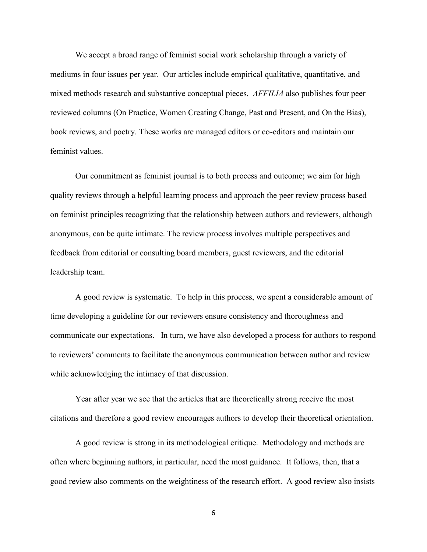We accept a broad range of feminist social work scholarship through a variety of mediums in four issues per year. Our articles include empirical qualitative, quantitative, and mixed methods research and substantive conceptual pieces. *AFFILIA* also publishes four peer reviewed columns (On Practice, Women Creating Change, Past and Present, and On the Bias), book reviews, and poetry. These works are managed editors or co-editors and maintain our feminist values.

Our commitment as feminist journal is to both process and outcome; we aim for high quality reviews through a helpful learning process and approach the peer review process based on feminist principles recognizing that the relationship between authors and reviewers, although anonymous, can be quite intimate. The review process involves multiple perspectives and feedback from editorial or consulting board members, guest reviewers, and the editorial leadership team.

A good review is systematic. To help in this process, we spent a considerable amount of time developing a guideline for our reviewers ensure consistency and thoroughness and communicate our expectations. In turn, we have also developed a process for authors to respond to reviewers' comments to facilitate the anonymous communication between author and review while acknowledging the intimacy of that discussion.

Year after year we see that the articles that are theoretically strong receive the most citations and therefore a good review encourages authors to develop their theoretical orientation.

A good review is strong in its methodological critique. Methodology and methods are often where beginning authors, in particular, need the most guidance. It follows, then, that a good review also comments on the weightiness of the research effort. A good review also insists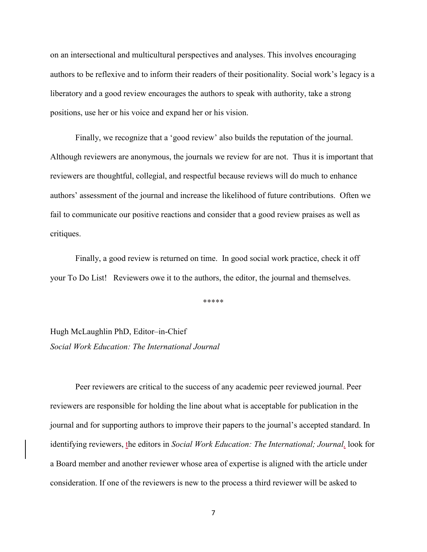on an intersectional and multicultural perspectives and analyses. This involves encouraging authors to be reflexive and to inform their readers of their positionality. Social work's legacy is a liberatory and a good review encourages the authors to speak with authority, take a strong positions, use her or his voice and expand her or his vision.

Finally, we recognize that a 'good review' also builds the reputation of the journal. Although reviewers are anonymous, the journals we review for are not. Thus it is important that reviewers are thoughtful, collegial, and respectful because reviews will do much to enhance authors' assessment of the journal and increase the likelihood of future contributions. Often we fail to communicate our positive reactions and consider that a good review praises as well as critiques.

Finally, a good review is returned on time. In good social work practice, check it off your To Do List! Reviewers owe it to the authors, the editor, the journal and themselves.

\*\*\*\*\*

Hugh McLaughlin PhD, Editor–in-Chief *Social Work Education: The International Journal*

Peer reviewers are critical to the success of any academic peer reviewed journal. Peer reviewers are responsible for holding the line about what is acceptable for publication in the journal and for supporting authors to improve their papers to the journal's accepted standard. In identifying reviewers, the editors in *Social Work Education: The International; Journal,* look for a Board member and another reviewer whose area of expertise is aligned with the article under consideration. If one of the reviewers is new to the process a third reviewer will be asked to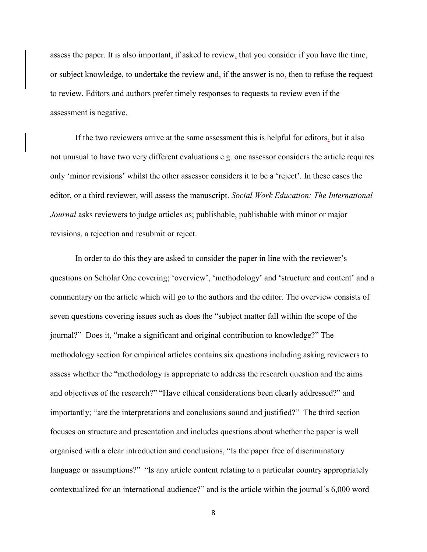assess the paper. It is also important, if asked to review, that you consider if you have the time, or subject knowledge, to undertake the review and, if the answer is no, then to refuse the request to review. Editors and authors prefer timely responses to requests to review even if the assessment is negative.

If the two reviewers arrive at the same assessment this is helpful for editors, but it also not unusual to have two very different evaluations e.g. one assessor considers the article requires only 'minor revisions' whilst the other assessor considers it to be a 'reject'. In these cases the editor, or a third reviewer, will assess the manuscript. *Social Work Education: The International Journal* asks reviewers to judge articles as; publishable, publishable with minor or major revisions, a rejection and resubmit or reject.

In order to do this they are asked to consider the paper in line with the reviewer's questions on Scholar One covering; 'overview', 'methodology' and 'structure and content' and a commentary on the article which will go to the authors and the editor. The overview consists of seven questions covering issues such as does the "subject matter fall within the scope of the journal?" Does it, "make a significant and original contribution to knowledge?" The methodology section for empirical articles contains six questions including asking reviewers to assess whether the "methodology is appropriate to address the research question and the aims and objectives of the research?" "Have ethical considerations been clearly addressed?" and importantly; "are the interpretations and conclusions sound and justified?" The third section focuses on structure and presentation and includes questions about whether the paper is well organised with a clear introduction and conclusions, "Is the paper free of discriminatory language or assumptions?" "Is any article content relating to a particular country appropriately contextualized for an international audience?" and is the article within the journal's 6,000 word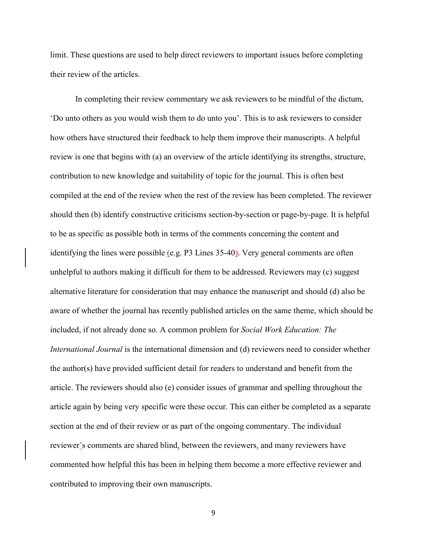limit. These questions are used to help direct reviewers to important issues before completing their review of the articles.

In completing their review commentary we ask reviewers to be mindful of the dictum, 'Do unto others as you would wish them to do unto you'. This is to ask reviewers to consider how others have structured their feedback to help them improve their manuscripts. A helpful review is one that begins with (a) an overview of the article identifying its strengths, structure, contribution to new knowledge and suitability of topic for the journal. This is often best compiled at the end of the review when the rest of the review has been completed. The reviewer should then (b) identify constructive criticisms section-by-section or page-by-page. It is helpful to be as specific as possible both in terms of the comments concerning the content and identifying the lines were possible (e.g. P3 Lines 35-40). Very general comments are often unhelpful to authors making it difficult for them to be addressed. Reviewers may (c) suggest alternative literature for consideration that may enhance the manuscript and should (d) also be aware of whether the journal has recently published articles on the same theme, which should be included, if not already done so. A common problem for *Social Work Education: The International Journal* is the international dimension and (d) reviewers need to consider whether the author(s) have provided sufficient detail for readers to understand and benefit from the article. The reviewers should also (e) consider issues of grammar and spelling throughout the article again by being very specific were these occur. This can either be completed as a separate section at the end of their review or as part of the ongoing commentary. The individual reviewer's comments are shared blind, between the reviewers, and many reviewers have commented how helpful this has been in helping them become a more effective reviewer and contributed to improving their own manuscripts.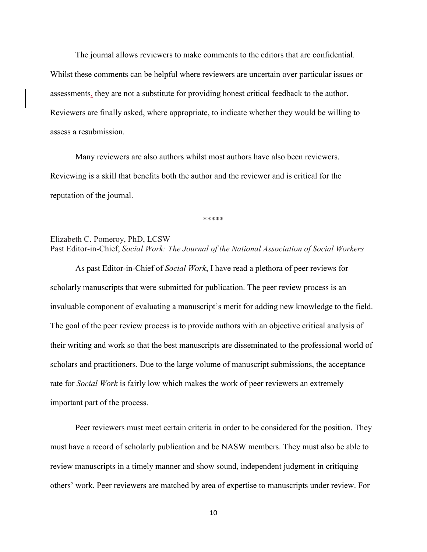The journal allows reviewers to make comments to the editors that are confidential. Whilst these comments can be helpful where reviewers are uncertain over particular issues or assessments, they are not a substitute for providing honest critical feedback to the author. Reviewers are finally asked, where appropriate, to indicate whether they would be willing to assess a resubmission.

Many reviewers are also authors whilst most authors have also been reviewers. Reviewing is a skill that benefits both the author and the reviewer and is critical for the reputation of the journal.

\*\*\*\*\*

## Elizabeth C. Pomeroy, PhD, LCSW Past Editor-in-Chief, *Social Work: The Journal of the National Association of Social Workers*

As past Editor-in-Chief of *Social Work*, I have read a plethora of peer reviews for scholarly manuscripts that were submitted for publication. The peer review process is an invaluable component of evaluating a manuscript's merit for adding new knowledge to the field. The goal of the peer review process is to provide authors with an objective critical analysis of their writing and work so that the best manuscripts are disseminated to the professional world of scholars and practitioners. Due to the large volume of manuscript submissions, the acceptance rate for *Social Work* is fairly low which makes the work of peer reviewers an extremely important part of the process.

Peer reviewers must meet certain criteria in order to be considered for the position. They must have a record of scholarly publication and be NASW members. They must also be able to review manuscripts in a timely manner and show sound, independent judgment in critiquing others' work. Peer reviewers are matched by area of expertise to manuscripts under review. For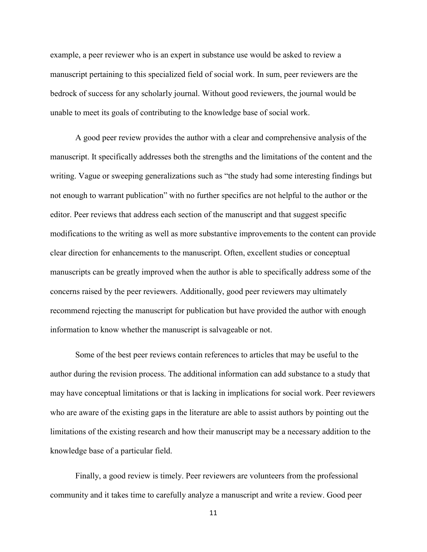example, a peer reviewer who is an expert in substance use would be asked to review a manuscript pertaining to this specialized field of social work. In sum, peer reviewers are the bedrock of success for any scholarly journal. Without good reviewers, the journal would be unable to meet its goals of contributing to the knowledge base of social work.

A good peer review provides the author with a clear and comprehensive analysis of the manuscript. It specifically addresses both the strengths and the limitations of the content and the writing. Vague or sweeping generalizations such as "the study had some interesting findings but not enough to warrant publication" with no further specifics are not helpful to the author or the editor. Peer reviews that address each section of the manuscript and that suggest specific modifications to the writing as well as more substantive improvements to the content can provide clear direction for enhancements to the manuscript. Often, excellent studies or conceptual manuscripts can be greatly improved when the author is able to specifically address some of the concerns raised by the peer reviewers. Additionally, good peer reviewers may ultimately recommend rejecting the manuscript for publication but have provided the author with enough information to know whether the manuscript is salvageable or not.

Some of the best peer reviews contain references to articles that may be useful to the author during the revision process. The additional information can add substance to a study that may have conceptual limitations or that is lacking in implications for social work. Peer reviewers who are aware of the existing gaps in the literature are able to assist authors by pointing out the limitations of the existing research and how their manuscript may be a necessary addition to the knowledge base of a particular field.

Finally, a good review is timely. Peer reviewers are volunteers from the professional community and it takes time to carefully analyze a manuscript and write a review. Good peer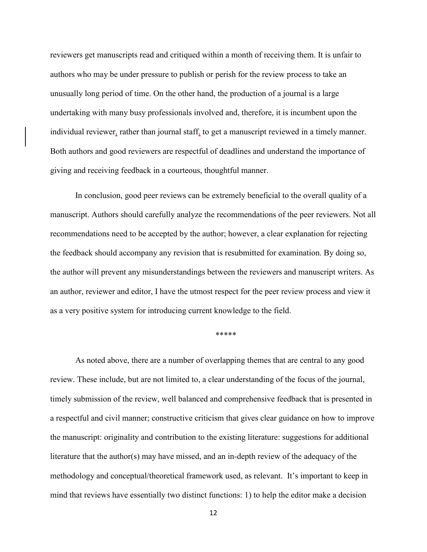reviewers get manuscripts read and critiqued within a month of receiving them. It is unfair to authors who may be under pressure to publish or perish for the review process to take an unusually long period of time. On the other hand, the production of a journal is a large undertaking with many busy professionals involved and, therefore, it is incumbent upon the individual reviewer, rather than journal staff, to get a manuscript reviewed in a timely manner. Both authors and good reviewers are respectful of deadlines and understand the importance of giving and receiving feedback in a courteous, thoughtful manner.

In conclusion, good peer reviews can be extremely beneficial to the overall quality of a manuscript. Authors should carefully analyze the recommendations of the peer reviewers. Not all recommendations need to be accepted by the author; however, a clear explanation for rejecting the feedback should accompany any revision that is resubmitted for examination. By doing so, the author will prevent any misunderstandings between the reviewers and manuscript writers. As an author, reviewer and editor, I have the utmost respect for the peer review process and view it as a very positive system for introducing current knowledge to the field.

\*\*\*\*\*

As noted above, there are a number of overlapping themes that are central to any good review. These include, but are not limited to, a clear understanding of the focus of the journal, timely submission of the review, well balanced and comprehensive feedback that is presented in a respectful and civil manner; constructive criticism that gives clear guidance on how to improve the manuscript: originality and contribution to the existing literature: suggestions for additional literature that the author(s) may have missed, and an in-depth review of the adequacy of the methodology and conceptual/theoretical framework used, as relevant. It's important to keep in mind that reviews have essentially two distinct functions: 1) to help the editor make a decision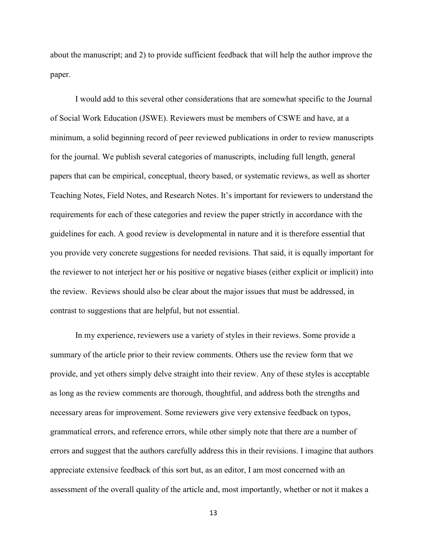about the manuscript; and 2) to provide sufficient feedback that will help the author improve the paper.

I would add to this several other considerations that are somewhat specific to the Journal of Social Work Education (JSWE). Reviewers must be members of CSWE and have, at a minimum, a solid beginning record of peer reviewed publications in order to review manuscripts for the journal. We publish several categories of manuscripts, including full length, general papers that can be empirical, conceptual, theory based, or systematic reviews, as well as shorter Teaching Notes, Field Notes, and Research Notes. It's important for reviewers to understand the requirements for each of these categories and review the paper strictly in accordance with the guidelines for each. A good review is developmental in nature and it is therefore essential that you provide very concrete suggestions for needed revisions. That said, it is equally important for the reviewer to not interject her or his positive or negative biases (either explicit or implicit) into the review. Reviews should also be clear about the major issues that must be addressed, in contrast to suggestions that are helpful, but not essential.

In my experience, reviewers use a variety of styles in their reviews. Some provide a summary of the article prior to their review comments. Others use the review form that we provide, and yet others simply delve straight into their review. Any of these styles is acceptable as long as the review comments are thorough, thoughtful, and address both the strengths and necessary areas for improvement. Some reviewers give very extensive feedback on typos, grammatical errors, and reference errors, while other simply note that there are a number of errors and suggest that the authors carefully address this in their revisions. I imagine that authors appreciate extensive feedback of this sort but, as an editor, I am most concerned with an assessment of the overall quality of the article and, most importantly, whether or not it makes a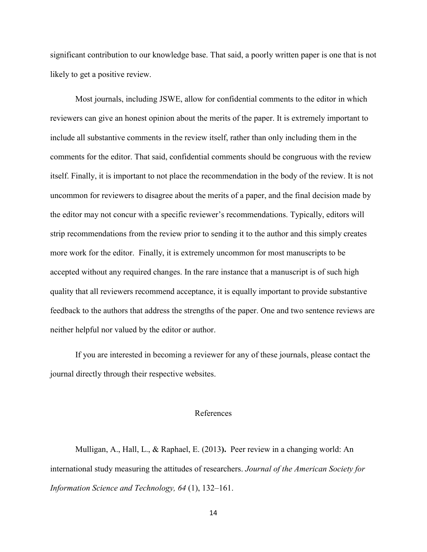significant contribution to our knowledge base. That said, a poorly written paper is one that is not likely to get a positive review.

Most journals, including JSWE, allow for confidential comments to the editor in which reviewers can give an honest opinion about the merits of the paper. It is extremely important to include all substantive comments in the review itself, rather than only including them in the comments for the editor. That said, confidential comments should be congruous with the review itself. Finally, it is important to not place the recommendation in the body of the review. It is not uncommon for reviewers to disagree about the merits of a paper, and the final decision made by the editor may not concur with a specific reviewer's recommendations. Typically, editors will strip recommendations from the review prior to sending it to the author and this simply creates more work for the editor. Finally, it is extremely uncommon for most manuscripts to be accepted without any required changes. In the rare instance that a manuscript is of such high quality that all reviewers recommend acceptance, it is equally important to provide substantive feedback to the authors that address the strengths of the paper. One and two sentence reviews are neither helpful nor valued by the editor or author.

If you are interested in becoming a reviewer for any of these journals, please contact the journal directly through their respective websites.

## References

Mulligan, A., Hall, L., & Raphael, E. (2013**).** Peer review in a changing world: An international study measuring the attitudes of researchers. *Journal of the American Society for Information Science and Technology, 64* (1), 132–161.